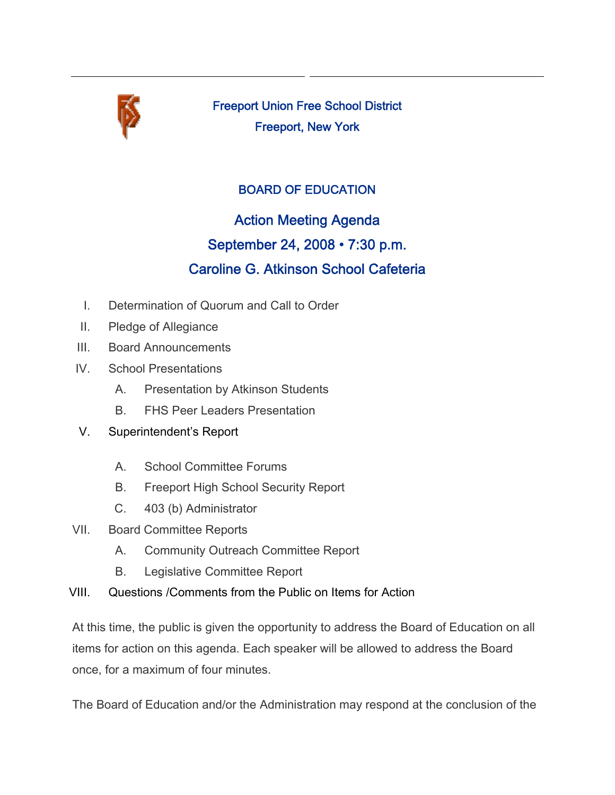

Freeport Union Free School District Freeport, New York

## BOARD OF EDUCATION

# Action Meeting Agenda September 24, 2008 • 7:30 p.m. Caroline G. Atkinson School Cafeteria

- I. Determination of Quorum and Call to Order
- II. Pledge of Allegiance
- III. Board Announcements
- IV. School Presentations
	- A. Presentation by Atkinson Students
	- B. FHS Peer Leaders Presentation
- V. Superintendent's Report
	- A. School Committee Forums
	- B. Freeport High School Security Report
	- C. 403 (b) Administrator
- VII. Board Committee Reports
	- A. Community Outreach Committee Report
	- B. Legislative Committee Report
- VIII. Questions /Comments from the Public on Items for Action

At this time, the public is given the opportunity to address the Board of Education on all items for action on this agenda. Each speaker will be allowed to address the Board once, for a maximum of four minutes.

The Board of Education and/or the Administration may respond at the conclusion of the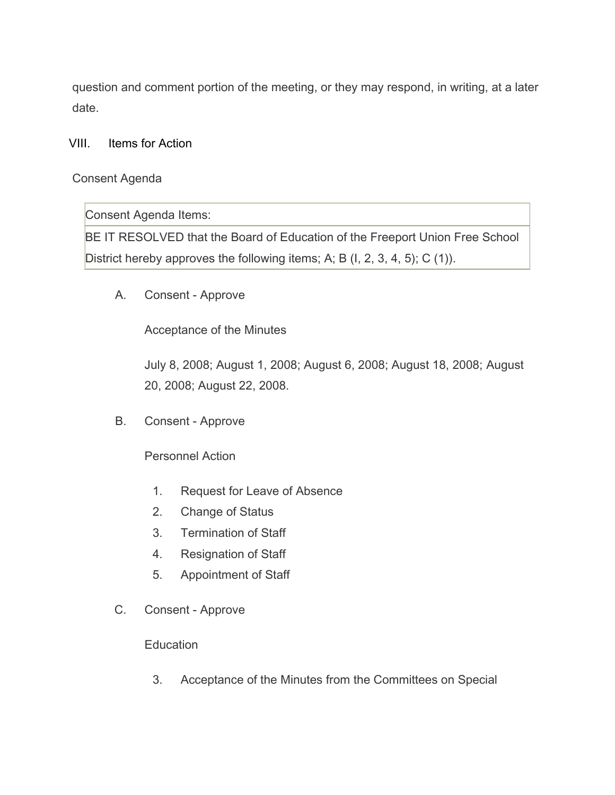question and comment portion of the meeting, or they may respond, in writing, at a later date.

VIII. Items for Action

Consent Agenda

Consent Agenda Items:

BE IT RESOLVED that the Board of Education of the Freeport Union Free School District hereby approves the following items; A; B (I, 2, 3, 4, 5); C (1)).

A. Consent - Approve

Acceptance of the Minutes

July 8, 2008; August 1, 2008; August 6, 2008; August 18, 2008; August 20, 2008; August 22, 2008.

B. Consent - Approve

Personnel Action

- 1. Request for Leave of Absence
- 2. Change of Status
- 3. Termination of Staff
- 4. Resignation of Staff
- 5. Appointment of Staff
- C. Consent Approve

**Education** 

3. Acceptance of the Minutes from the Committees on Special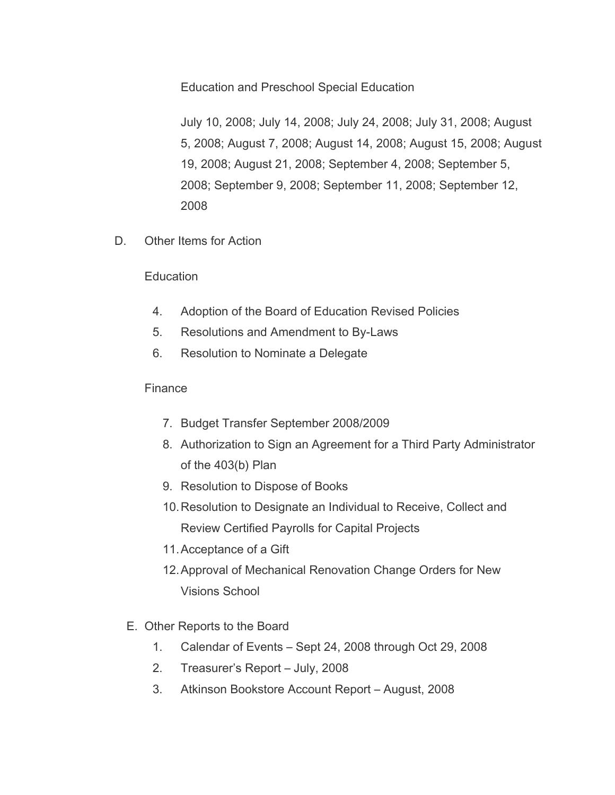Education and Preschool Special Education

July 10, 2008; July 14, 2008; July 24, 2008; July 31, 2008; August 5, 2008; August 7, 2008; August 14, 2008; August 15, 2008; August 19, 2008; August 21, 2008; September 4, 2008; September 5, 2008; September 9, 2008; September 11, 2008; September 12, 2008

D. Other Items for Action

#### Education

- 4. Adoption of the Board of Education Revised Policies
- 5. Resolutions and Amendment to By-Laws
- 6. Resolution to Nominate a Delegate

#### **Finance**

- 7. Budget Transfer September 2008/2009
- 8. Authorization to Sign an Agreement for a Third Party Administrator of the 403(b) Plan
- 9. Resolution to Dispose of Books
- 10.Resolution to Designate an Individual to Receive, Collect and Review Certified Payrolls for Capital Projects
- 11.Acceptance of a Gift
- 12.Approval of Mechanical Renovation Change Orders for New Visions School
- E. Other Reports to the Board
	- 1. Calendar of Events Sept 24, 2008 through Oct 29, 2008
	- 2. Treasurer's Report July, 2008
	- 3. Atkinson Bookstore Account Report August, 2008